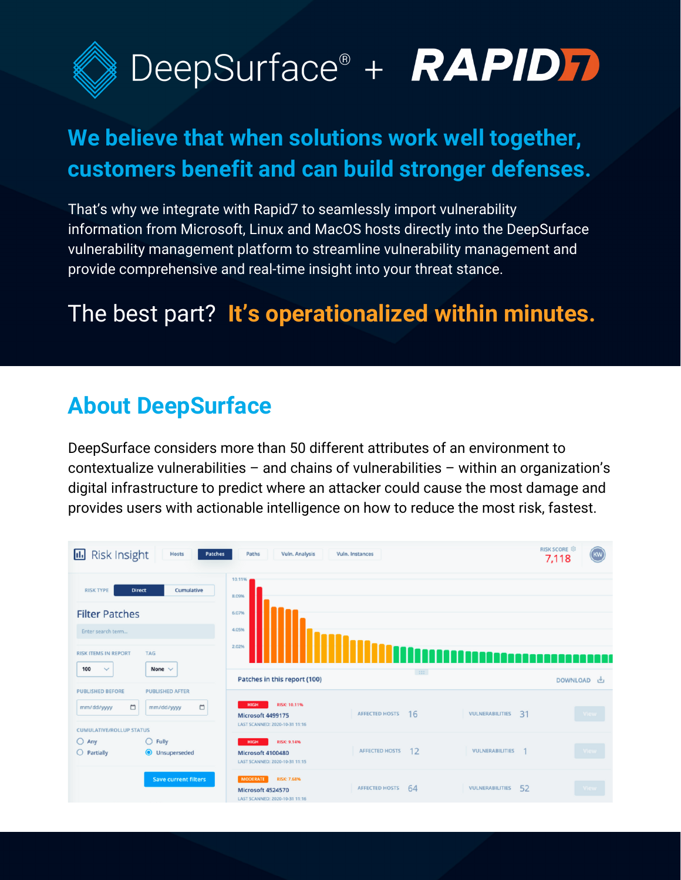

## **We believe that when solutions work well together, customers benefit and can build stronger defenses.**

That's why we integrate with Rapid7 to seamlessly import vulnerability information from Microsoft, Linux and MacOS hosts directly into the DeepSurface vulnerability management platform to streamline vulnerability management and provide comprehensive and real-time insight into your threat stance.

## The best part? **It's operationalized within minutes.**

### **About DeepSurface**

DeepSurface considers more than 50 different attributes of an environment to contextualize vulnerabilities – and chains of vulnerabilities – within an organization's digital infrastructure to predict where an attacker could cause the most damage and provides users with actionable intelligence on how to reduce the most risk, fastest.

| <b>RISK SCORE</b><br><b>Risk Insight</b><br>п.<br>Hosts<br>Patches<br>Paths<br>Vuln. Analysis<br>Vuln, Instances |                                                |                                                                                              |                              |                       |                         |  |  |
|------------------------------------------------------------------------------------------------------------------|------------------------------------------------|----------------------------------------------------------------------------------------------|------------------------------|-----------------------|-------------------------|--|--|
| <b>RISK TYPE</b><br><b>Filter Patches</b><br>Enter search term<br><b>RISK ITEMS IN REPORT</b>                    | Cumulative<br><b>Direct</b><br><b>TAG</b>      | 10.11%<br>8.09%<br>6.07%<br>4.05%<br>2.02%                                                   |                              |                       | a a s                   |  |  |
| 100<br>$\checkmark$                                                                                              | None $\vee$                                    | Patches in this report (100)                                                                 | $\left  \cdot \right\rangle$ |                       | <b>DOWNLOAD</b><br>رىلى |  |  |
| <b>PUBLISHED BEFORE</b><br>$\Box$<br>mm/dd/yyyy<br><b>CUMULATIVE/ROLLUP STATUS</b>                               | <b>PUBLISHED AFTER</b><br>$\Box$<br>mm/dd/yyyy | <b>RISK: 10.11%</b><br><b>HIGH</b><br>Microsoft 4499175<br>LAST SCANNED: 2020-10-31 11:16    | <b>AFFECTED HOSTS</b><br>16  | VULNERABILITIES<br>31 | View                    |  |  |
| $O$ Any<br>$O$ Partially                                                                                         | $\bigcirc$ Fully<br><b>O</b> Unsuperseded      | <b>RISK: 9.14%</b><br><b>HIGH</b><br>Microsoft 4100480<br>LAST SCANNED: 2020-10-31 11:15     | 12<br><b>AFFECTED HOSTS</b>  | VULNERABILITIES       | View                    |  |  |
|                                                                                                                  | <b>Save current filters</b>                    | <b>RISK: 7.68%</b><br><b>MODERATE</b><br>Microsoft 4524570<br>LAST SCANNED: 2020-10-31 11:16 | <b>AFFECTED HOSTS</b><br>64  | 52<br>VULNERABILITIES | View                    |  |  |